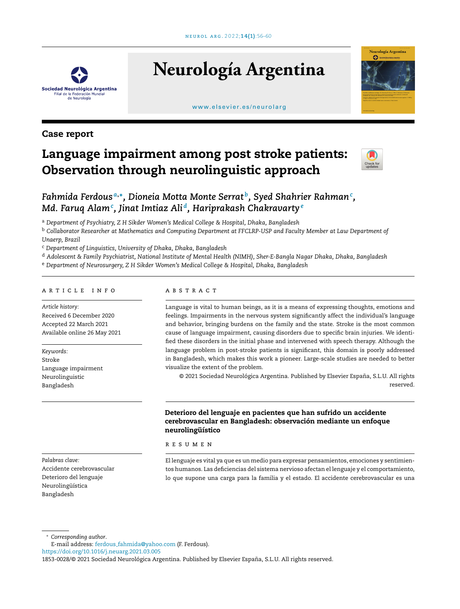

# **Neurología Argentina**

#### [www.elsevier.es/neurolarg](http://www.elsevier.es/neurolarg)



### Case report

## Language impairment among post stroke patients: Observation through neurolinguistic approach



## *Fahmida Ferdous <sup>a</sup>*,<sup>∗</sup> *, Dioneia Motta Monte Serrat <sup>b</sup> , Syed Shahrier Rahman<sup>c</sup> , Md. Faruq Alam<sup>c</sup> , Jinat Imtiaz Ali <sup>d</sup> , Hariprakash Chakravarty<sup>e</sup>*

<sup>a</sup> *Department of Psychiatry, Z H Sikder Women's Medical College & Hospital, Dhaka, Bangladesh*

<sup>b</sup> Collaborator Researcher at Mathematics and Computing Department at FFCLRP-USP and Faculty Member at Law Department of *Unaerp, Brazil*

<sup>c</sup> *Department of Linguistics, University of Dhaka, Dhaka, Bangladesh*

<sup>d</sup> Adolescent & Family Psychiatrist, National Institute of Mental Health (NIMH), Sher-E-Bangla Nagar Dhaka, Dhaka, Bangladesh

<sup>e</sup> *Department of Neurosurgery, Z H Sikder Women's Medical College & Hospital, Dhaka, Bangladesh*

#### a r t i c l e i n f o

*Article history:* Received 6 December 2020 Accepted 22 March 2021 Available online 26 May 2021

*Keywords:* Stroke Language impairment Neurolinguistic Bangladesh

*Palabras clave:* Accidente cerebrovascular Deterioro del lenguaje Neurolingüística Bangladesh

#### a b s t r a c t

Language is vital to human beings, as it is a means of expressing thoughts, emotions and feelings. Impairments in the nervous system significantly affect the individual's language and behavior, bringing burdens on the family and the state. Stroke is the most common cause of language impairment, causing disorders due to specific brain injuries. We identified these disorders in the initial phase and intervened with speech therapy. Although the language problem in post-stroke patients is significant, this domain is poorly addressed in Bangladesh, which makes this work a pioneer. Large-scale studies are needed to better visualize the extent of the problem.

© 2021 Sociedad Neurológica Argentina. Published by Elsevier España, S.L.U. All rights reserved.

#### Deterioro del lenguaje en pacientes que han sufrido un accidente cerebrovascular en Bangladesh: observación mediante un enfoque neurolingüístico

r e s u m e n

El lenguaje es vital ya que es un medio para expresar pensamientos, emociones y sentimientos humanos. Las deficiencias del sistema nervioso afectan el lenguaje y el comportamiento, lo que supone una carga para la familia y el estado. El accidente cerebrovascular es una

<sup>∗</sup> *Corresponding author*.

E-mail address: ferdous [fahmida@yahoo.com](mailto:ferdous_fahmida@yahoo.com) (F. Ferdous).

<https://doi.org/10.1016/j.neuarg.2021.03.005>

<sup>1853-0028/© 2021</sup> Sociedad Neurológica Argentina. Published by Elsevier España, S.L.U. All rights reserved.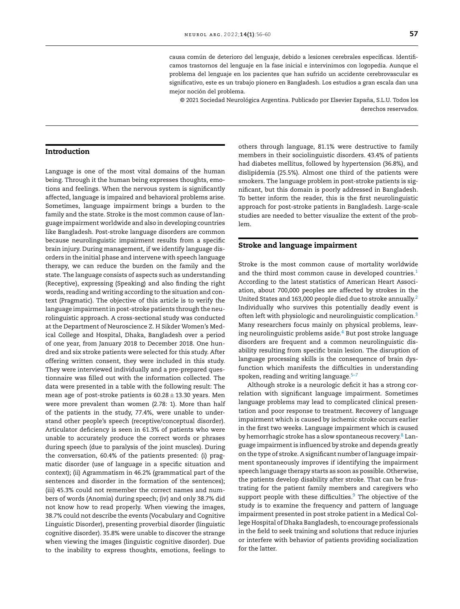causa común de deterioro del lenguaje, debido a lesiones cerebrales específicas. Identificamos trastornos del lenguaje en la fase inicial e intervinimos con logopedia. Aunque el problema del lenguaje en los pacientes que han sufrido un accidente cerebrovascular es significativo, este es un trabajo pionero en Bangladesh. Los estudios a gran escala dan una mejor noción del problema.

© 2021 Sociedad Neurológica Argentina. Publicado por Elsevier España, S.L.U. Todos los derechos reservados.

#### Introduction

Language is one of the most vital domains of the human being. Through it the human being expresses thoughts, emotions and feelings. When the nervous system is significantly affected, language is impaired and behavioral problems arise. Sometimes, language impairment brings a burden to the family and the state. Stroke is the most common cause of language impairment worldwide and also in developing countries like Bangladesh. Post-stroke language disorders are common because neurolinguistic impairment results from a specific brain injury. During management, if we identify language disorders in the initial phase and intervene with speech language therapy, we can reduce the burden on the family and the state. The language consists of aspects such as understanding (Receptive), expressing (Speaking) and also finding the right words, reading and writing according to the situation and context (Pragmatic). The objective of this article is to verify the language impairmentin post-stroke patients through the neurolinguistic approach. A cross-sectional study was conducted at the Department of Neuroscience Z. H Sikder Women's Medical College and Hospital, Dhaka, Bangladesh over a period of one year, from January 2018 to December 2018. One hundred and six stroke patients were selected for this study. After offering written consent, they were included in this study. They were interviewed individually and a pre-prepared questionnaire was filled out with the information collected. The data were presented in a table with the following result: The mean age of post-stroke patients is  $60.28 \pm 13.30$  years. Men were more prevalent than women (2.78: 1). More than half of the patients in the study, 77.4%, were unable to understand other people's speech (receptive/conceptual disorder). Articulator deficiency is seen in 61.3% of patients who were unable to accurately produce the correct words or phrases during speech (due to paralysis of the joint muscles). During the conversation, 60.4% of the patients presented: (i) pragmatic disorder (use of language in a specific situation and context); (ii) Agrammatism in 46.2% (grammatical part of the sentences and disorder in the formation of the sentences); (iii) 45.3% could not remember the correct names and numbers of words (Anomia) during speech; (iv) and only 38.7% did not know how to read properly. When viewing the images, 38.7% could not describe the events (Vocabulary and Cognitive Linguistic Disorder), presenting proverbial disorder (linguistic cognitive disorder). 35.8% were unable to discover the strange when viewing the images (linguistic cognitive disorder). Due to the inability to express thoughts, emotions, feelings to

others through language, 81.1% were destructive to family members in their sociolinguistic disorders. 43.4% of patients had diabetes mellitus, followed by hypertension (36.8%), and dislipidemia (25.5%). Almost one third of the patients were smokers. The language problem in post-stroke patients is significant, but this domain is poorly addressed in Bangladesh. To better inform the reader, this is the first neurolinguistic approach for post-stroke patients in Bangladesh. Large-scale studies are needed to better visualize the extent of the problem.

#### Stroke and language impairment

Stroke is the most common cause of mortality worldwide and the third most common cause in developed countries.<sup>[1](#page-3-0)</sup> According to the latest statistics of American Heart Association, about 700,000 peoples are affected by strokes in the United States and 163,000 people died due to stroke annually.[2](#page-3-0) Individually who survives this potentially deadly event is often left with physiologic and neurolinguistic complication.<sup>[3](#page-3-0)</sup> Many researchers focus mainly on physical problems, leav-ing neurolinguistic problems aside.<sup>[4](#page-3-0)</sup> But post stroke language disorders are frequent and a common neurolinguistic disability resulting from specific brain lesion. The disruption of language processing skills is the consequence of brain dysfunction which manifests the difficulties in understanding spoken, reading and writing language.<sup>5-7</sup>

Although stroke is a neurologic deficit it has a strong correlation with significant language impairment. Sometimes language problems may lead to complicated clinical presentation and poor response to treatment. Recovery of language impairment which is caused by ischemic stroke occurs earlier in the first two weeks. Language impairment which is caused by hemorrhagic stroke has a slow spontaneous recovery.<sup>8</sup> [L](#page-4-0)anguage impairment is influenced by stroke and depends greatly on the type of stroke. A significant number of language impairment spontaneously improves if identifying the impairment speech language therapy starts as soon as possible. Otherwise, the patients develop disability after stroke. That can be frustrating for the patient family members and caregivers who support people with these difficulties. $9$  The objective of the study is to examine the frequency and pattern of language impairment presented in post stroke patient in a Medical College Hospital of Dhaka Bangladesh, to encourage professionals in the field to seek training and solutions that reduce injuries or interfere with behavior of patients providing socialization for the latter.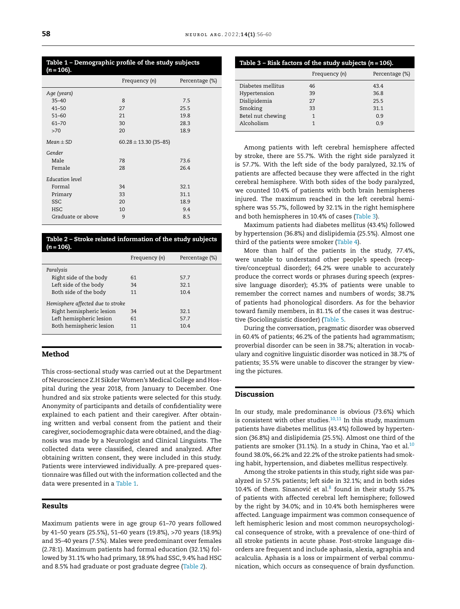#### Table 1 – Demographic profile of the study subjects (*n* = 106).

| Frequency (n)             | Percentage (%) |
|---------------------------|----------------|
|                           |                |
| 8                         | 7.5            |
| 27                        | 25.5           |
| 21                        | 19.8           |
| 30                        | 28.3           |
| 20                        | 18.9           |
| $60.28 \pm 13.30$ (35-85) |                |
|                           |                |
| 78                        | 73.6           |
| 28                        | 26.4           |
|                           |                |
| 34                        | 32.1           |
| 33                        | 31.1           |
| 20                        | 18.9           |
| 10                        | 9.4            |
| 9                         | 8.5            |
|                           |                |

Table 2 – Stroke related information of the study subjects  $(n = 106)$ 

|                                   | Frequency (n) | Percentage (%) |
|-----------------------------------|---------------|----------------|
| Paralysis                         |               |                |
| Right side of the body            | 61            | 57.7           |
| Left side of the body             | 34            | 321            |
| Both side of the body             | 11            | 10.4           |
| Hemisphere affected due to stroke |               |                |
| Right hemispheric lesion          | 34            | 321            |
| Left hemispheric lesion           | 61            | 57.7           |
| Both hemispheric lesion           | 11            | 104            |
|                                   |               |                |

#### Method

This cross-sectional study was carried out at the Department of Neuroscience Z.H Sikder Women's Medical College and Hospital during the year 2018, from January to December. One hundred and six stroke patients were selected for this study. Anonymity of participants and details of confidentiality were explained to each patient and their caregiver. After obtaining written and verbal consent from the patient and their caregiver, sociodemographic data were obtained, and the diagnosis was made by a Neurologist and Clinical Linguists. The collected data were classified, cleared and analyzed. After obtaining written consent, they were included in this study. Patients were interviewed individually. A pre-prepared questionnaire was filled out with the information collected and the data were presented in a Table 1.

#### Results

Maximum patients were in age group 61–70 years followed by 41–50 years (25.5%), 51–60 years (19.8%), >70 years (18.9%) and 35–40 years (7.5%). Males were predominant over females (2.78:1). Maximum patients had formal education (32.1%) followed by 31.1% who had primary, 18.9% had SSC, 9.4% had HSC and 8.5% had graduate or post graduate degree (Table 2).

| Table 3 – Risk factors of the study subjects ( $n = 106$ ). |                |  |  |  |  |
|-------------------------------------------------------------|----------------|--|--|--|--|
| Frequency (n)                                               | Percentage (%) |  |  |  |  |
| 46                                                          | 43.4           |  |  |  |  |
| 39                                                          | 36.8           |  |  |  |  |
| 27                                                          | 25.5           |  |  |  |  |
| 33                                                          | 31.1           |  |  |  |  |
| 1                                                           | 0.9            |  |  |  |  |
| 1                                                           | 0.9            |  |  |  |  |
|                                                             |                |  |  |  |  |

Among patients with left cerebral hemisphere affected by stroke, there are 55.7%. With the right side paralyzed it is 57.7%. With the left side of the body paralyzed, 32.1% of patients are affected because they were affected in the right cerebral hemisphere. With both sides of the body paralyzed, we counted 10.4% of patients with both brain hemispheres injured. The maximum reached in the left cerebral hemisphere was 55.7%, followed by 32.1% in the right hemisphere and both hemispheres in 10.4% of cases (Table 3).

Maximum patients had diabetes mellitus (43.4%) followed by hypertension (36.8%) and dislipidemia (25.5%). Almost one third of the patients were smoker [\(Table](#page-3-0) 4).

More than half of the patients in the study, 77.4%, were unable to understand other people's speech (receptive/conceptual disorder); 64.2% were unable to accurately produce the correct words or phrases during speech (expressive language disorder); 45.3% of patients were unable to remember the correct names and numbers of words; 38.7% of patients had phonological disorders. As for the behavior toward family members, in 81.1% of the cases it was destructive (Sociolinguistic disorder) [\(Table](#page-3-0) 5.

During the conversation, pragmatic disorder was observed in 60.4% of patients; 46.2% of the patients had agrammatism; proverbial disorder can be seen in 38.7%; alteration in vocabulary and cognitive linguistic disorder was noticed in 38.7% of patients; 35.5% were unable to discover the stranger by viewing the pictures.

#### Discussion

In our study, male predominance is obvious (73.6%) which is consistent with other studies. $10,11$  In this study, maximum patients have diabetes mellitus (43.4%) followed by hypertension (36.8%) and dislipidemia (25.5%). Almost one third of the patients are smoker (31.1%). In a study in China, Yao et al.<sup>[10](#page-4-0)</sup> found 38.0%, 66.2% and 22.2% of the stroke patients had smoking habit, hypertension, and diabetes mellitus respectively.

Among the stroke patients in this study, right side was paralyzed in 57.5% patients; left side in 32.1%; and in both sides 10.4% of them. Sinanović et al. $8$  found in their study 55.7% of patients with affected cerebral left hemisphere; followed by the right by 34.0%; and in 10.4% both hemispheres were affected. Language impairment was common consequence of left hemispheric lesion and most common neuropsychological consequence of stroke, with a prevalence of one-third of all stroke patients in acute phase. Post-stroke language disorders are frequent and include aphasia, alexia, agraphia and acalculia. Aphasia is a loss or impairment of verbal communication, which occurs as consequence of brain dysfunction.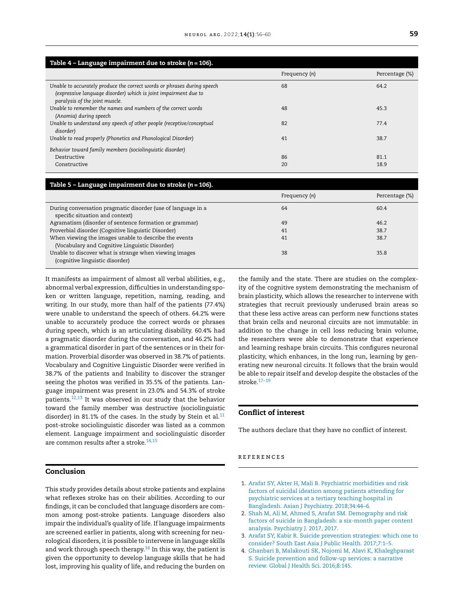<span id="page-3-0"></span>

| Table $4$ - Language impairment due to stroke ( $n = 106$ ).                                                                                                                 |               |                |
|------------------------------------------------------------------------------------------------------------------------------------------------------------------------------|---------------|----------------|
|                                                                                                                                                                              | Frequency (n) | Percentage (%) |
| Unable to accurately produce the correct words or phrases during speech<br>(expressive language disorder) which is joint impairment due to<br>paralysis of the joint muscle. | 68            | 64.2           |
| Unable to remember the names and numbers of the correct words<br>(Anomia) during speech                                                                                      | 48            | 45.3           |
| Unable to understand any speech of other people (receptive/conceptual<br>disorder)                                                                                           | 82            | 77.4           |
| Unable to read properly (Phonetics and Phonological Disorder)                                                                                                                | 41            | 38.7           |
| Behavior toward family members (sociolinguistic disorder)                                                                                                                    |               |                |
| Destructive                                                                                                                                                                  | 86            | 81.1           |
| Constructive                                                                                                                                                                 | 20            | 18.9           |

#### Table 5 – Language impairment due to stroke (*n* = 106).

|                                                                                                 | Frequency (n) | Percentage (%) |
|-------------------------------------------------------------------------------------------------|---------------|----------------|
| During conversation pragmatic disorder (use of language in a<br>specific situation and context) | 64            | 60.4           |
| Agramatism (disorder of sentence formation or grammar)                                          | 49            | 46.2           |
| Proverbial disorder (Cognitive linguistic Disorder)                                             | 41            | 38.7           |
| When viewing the images unable to describe the events                                           | 41            | 38.7           |
| (Vocabulary and Cognitive Linguistic Disorder)                                                  |               |                |
| Unable to discover what is strange when viewing images<br>(cognitive linguistic disorder)       | 38            | 35.8           |

It manifests as impairment of almost all verbal abilities, e.g., abnormal verbal expression, difficulties in understanding spoken or written language, repetition, naming, reading, and writing. In our study, more than half of the patients (77.4%) were unable to understand the speech of others. 64.2% were unable to accurately produce the correct words or phrases during speech, which is an articulating disability. 60.4% had a pragmatic disorder during the conversation, and 46.2% had a grammatical disorder in part of the sentences or in their formation. Proverbial disorder was observed in 38.7% of patients. Vocabulary and Cognitive Linguistic Disorder were verified in 38.7% of the patients and Inability to discover the stranger seeing the photos was verified in 35.5% of the patients. Language impairment was present in 23.0% and 54.3% of stroke patients.[12,13](#page-4-0) It was observed in our study that the behavior toward the family member was destructive (sociolinguistic disorder) in 81.1% of the cases. In the study by Stein et al. $11$ post-stroke sociolinguistic disorder was listed as a common element. Language impairment and sociolinguistic disorder are common results after a stroke.<sup>[14,15](#page-4-0)</sup>

#### Conclusion

This study provides details about stroke patients and explains what reflexes stroke has on their abilities. According to our findings, it can be concluded that language disorders are common among post-stroke patients. Language disorders also impair the individual's quality of life. If language impairments are screened earlier in patients, along with screening for neurological disorders, it is possible to intervene in language skills and work through speech therapy.<sup>[16](#page-4-0)</sup> In this way, the patient is given the opportunity to develop language skills that he had lost, improving his quality of life, and reducing the burden on

the family and the state. There are studies on the complexity of the cognitive system demonstrating the mechanism of brain plasticity, which allows the researcher to intervene with strategies that recruit previously underused brain areas so that these less active areas can perform new functions states that brain cells and neuronal circuits are not immutable: in addition to the change in cell loss reducing brain volume, the researchers were able to demonstrate that experience and learning reshape brain circuits. This configures neuronal plasticity, which enhances, in the long run, learning by generating new neuronal circuits. It follows that the brain would be able to repair itself and develop despite the obstacles of the stroke.[17–19](#page-4-0)

#### Conflict of interest

The authors declare that they have no conflict of interest.

#### r e f e r enc e s

- 1. [Arafat](http://refhub.elsevier.com/S1853-0028(21)00028-8/sbref0100) [SY,](http://refhub.elsevier.com/S1853-0028(21)00028-8/sbref0100) [Akter](http://refhub.elsevier.com/S1853-0028(21)00028-8/sbref0100) [H,](http://refhub.elsevier.com/S1853-0028(21)00028-8/sbref0100) [Mali](http://refhub.elsevier.com/S1853-0028(21)00028-8/sbref0100) [B.](http://refhub.elsevier.com/S1853-0028(21)00028-8/sbref0100) [Psychiatric](http://refhub.elsevier.com/S1853-0028(21)00028-8/sbref0100) [morbidities](http://refhub.elsevier.com/S1853-0028(21)00028-8/sbref0100) [and](http://refhub.elsevier.com/S1853-0028(21)00028-8/sbref0100) [risk](http://refhub.elsevier.com/S1853-0028(21)00028-8/sbref0100) [factors](http://refhub.elsevier.com/S1853-0028(21)00028-8/sbref0100) [of](http://refhub.elsevier.com/S1853-0028(21)00028-8/sbref0100) [suicidal](http://refhub.elsevier.com/S1853-0028(21)00028-8/sbref0100) [ideation](http://refhub.elsevier.com/S1853-0028(21)00028-8/sbref0100) [among](http://refhub.elsevier.com/S1853-0028(21)00028-8/sbref0100) [patients](http://refhub.elsevier.com/S1853-0028(21)00028-8/sbref0100) [attending](http://refhub.elsevier.com/S1853-0028(21)00028-8/sbref0100) [for](http://refhub.elsevier.com/S1853-0028(21)00028-8/sbref0100) [psychiatric](http://refhub.elsevier.com/S1853-0028(21)00028-8/sbref0100) [services](http://refhub.elsevier.com/S1853-0028(21)00028-8/sbref0100) [at](http://refhub.elsevier.com/S1853-0028(21)00028-8/sbref0100) [a](http://refhub.elsevier.com/S1853-0028(21)00028-8/sbref0100) [tertiary](http://refhub.elsevier.com/S1853-0028(21)00028-8/sbref0100) [teaching](http://refhub.elsevier.com/S1853-0028(21)00028-8/sbref0100) [hospital](http://refhub.elsevier.com/S1853-0028(21)00028-8/sbref0100) [in](http://refhub.elsevier.com/S1853-0028(21)00028-8/sbref0100) [Bangladesh.](http://refhub.elsevier.com/S1853-0028(21)00028-8/sbref0100) [Asian](http://refhub.elsevier.com/S1853-0028(21)00028-8/sbref0100) [J](http://refhub.elsevier.com/S1853-0028(21)00028-8/sbref0100) [Psychiatry.](http://refhub.elsevier.com/S1853-0028(21)00028-8/sbref0100) [2018;34:44](http://refhub.elsevier.com/S1853-0028(21)00028-8/sbref0100)–[6.](http://refhub.elsevier.com/S1853-0028(21)00028-8/sbref0100)
- 2. [Shah](http://refhub.elsevier.com/S1853-0028(21)00028-8/sbref0105) [M,](http://refhub.elsevier.com/S1853-0028(21)00028-8/sbref0105) [Ali](http://refhub.elsevier.com/S1853-0028(21)00028-8/sbref0105) [M,](http://refhub.elsevier.com/S1853-0028(21)00028-8/sbref0105) [Ahmed](http://refhub.elsevier.com/S1853-0028(21)00028-8/sbref0105) [S,](http://refhub.elsevier.com/S1853-0028(21)00028-8/sbref0105) [Arafat](http://refhub.elsevier.com/S1853-0028(21)00028-8/sbref0105) [SM.](http://refhub.elsevier.com/S1853-0028(21)00028-8/sbref0105) [Demography](http://refhub.elsevier.com/S1853-0028(21)00028-8/sbref0105) [and](http://refhub.elsevier.com/S1853-0028(21)00028-8/sbref0105) [risk](http://refhub.elsevier.com/S1853-0028(21)00028-8/sbref0105) [factors](http://refhub.elsevier.com/S1853-0028(21)00028-8/sbref0105) [of](http://refhub.elsevier.com/S1853-0028(21)00028-8/sbref0105) [suicide](http://refhub.elsevier.com/S1853-0028(21)00028-8/sbref0105) [in](http://refhub.elsevier.com/S1853-0028(21)00028-8/sbref0105) [Bangladesh:](http://refhub.elsevier.com/S1853-0028(21)00028-8/sbref0105) [a](http://refhub.elsevier.com/S1853-0028(21)00028-8/sbref0105) [six-month](http://refhub.elsevier.com/S1853-0028(21)00028-8/sbref0105) [paper](http://refhub.elsevier.com/S1853-0028(21)00028-8/sbref0105) [content](http://refhub.elsevier.com/S1853-0028(21)00028-8/sbref0105) [analysis.](http://refhub.elsevier.com/S1853-0028(21)00028-8/sbref0105) [Psychiatry](http://refhub.elsevier.com/S1853-0028(21)00028-8/sbref0105) [J.](http://refhub.elsevier.com/S1853-0028(21)00028-8/sbref0105) [2017,](http://refhub.elsevier.com/S1853-0028(21)00028-8/sbref0105) [2017.](http://refhub.elsevier.com/S1853-0028(21)00028-8/sbref0105)
- 3. [Arafat](http://refhub.elsevier.com/S1853-0028(21)00028-8/sbref0110) [SY,](http://refhub.elsevier.com/S1853-0028(21)00028-8/sbref0110) [Kabir](http://refhub.elsevier.com/S1853-0028(21)00028-8/sbref0110) [R.](http://refhub.elsevier.com/S1853-0028(21)00028-8/sbref0110) [Suicide](http://refhub.elsevier.com/S1853-0028(21)00028-8/sbref0110) [prevention](http://refhub.elsevier.com/S1853-0028(21)00028-8/sbref0110) [strategies:](http://refhub.elsevier.com/S1853-0028(21)00028-8/sbref0110) [which](http://refhub.elsevier.com/S1853-0028(21)00028-8/sbref0110) [one](http://refhub.elsevier.com/S1853-0028(21)00028-8/sbref0110) [to](http://refhub.elsevier.com/S1853-0028(21)00028-8/sbref0110) [consider?](http://refhub.elsevier.com/S1853-0028(21)00028-8/sbref0110) [South](http://refhub.elsevier.com/S1853-0028(21)00028-8/sbref0110) [East](http://refhub.elsevier.com/S1853-0028(21)00028-8/sbref0110) [Asia](http://refhub.elsevier.com/S1853-0028(21)00028-8/sbref0110) [J](http://refhub.elsevier.com/S1853-0028(21)00028-8/sbref0110) [Public](http://refhub.elsevier.com/S1853-0028(21)00028-8/sbref0110) [Health.](http://refhub.elsevier.com/S1853-0028(21)00028-8/sbref0110) [2017;7:1–5.](http://refhub.elsevier.com/S1853-0028(21)00028-8/sbref0110)
- 4. [Ghanbari](http://refhub.elsevier.com/S1853-0028(21)00028-8/sbref0115) [B,](http://refhub.elsevier.com/S1853-0028(21)00028-8/sbref0115) [Malakouti](http://refhub.elsevier.com/S1853-0028(21)00028-8/sbref0115) [SK,](http://refhub.elsevier.com/S1853-0028(21)00028-8/sbref0115) [Nojomi](http://refhub.elsevier.com/S1853-0028(21)00028-8/sbref0115) [M,](http://refhub.elsevier.com/S1853-0028(21)00028-8/sbref0115) [Alavi](http://refhub.elsevier.com/S1853-0028(21)00028-8/sbref0115) [K,](http://refhub.elsevier.com/S1853-0028(21)00028-8/sbref0115) [Khaleghparast](http://refhub.elsevier.com/S1853-0028(21)00028-8/sbref0115) [S.](http://refhub.elsevier.com/S1853-0028(21)00028-8/sbref0115) [Suicide](http://refhub.elsevier.com/S1853-0028(21)00028-8/sbref0115) [prevention](http://refhub.elsevier.com/S1853-0028(21)00028-8/sbref0115) [and](http://refhub.elsevier.com/S1853-0028(21)00028-8/sbref0115) [follow-up](http://refhub.elsevier.com/S1853-0028(21)00028-8/sbref0115) [services:](http://refhub.elsevier.com/S1853-0028(21)00028-8/sbref0115) [a](http://refhub.elsevier.com/S1853-0028(21)00028-8/sbref0115) [narrative](http://refhub.elsevier.com/S1853-0028(21)00028-8/sbref0115) [review.](http://refhub.elsevier.com/S1853-0028(21)00028-8/sbref0115) [Global](http://refhub.elsevier.com/S1853-0028(21)00028-8/sbref0115) [J](http://refhub.elsevier.com/S1853-0028(21)00028-8/sbref0115) [Health](http://refhub.elsevier.com/S1853-0028(21)00028-8/sbref0115) [Sci.](http://refhub.elsevier.com/S1853-0028(21)00028-8/sbref0115) [2016;8:145.](http://refhub.elsevier.com/S1853-0028(21)00028-8/sbref0115)